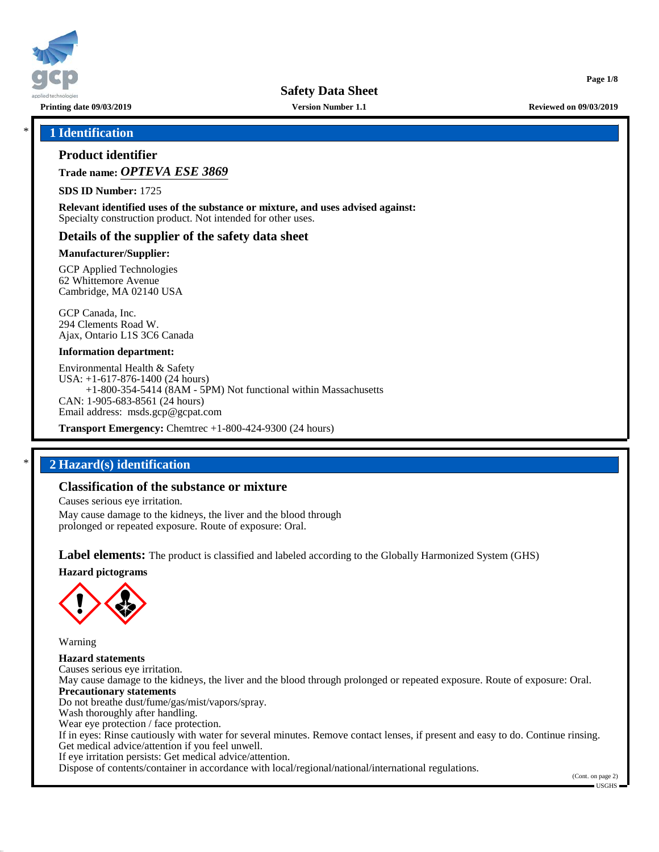

**Printing date 09/03/2019 Version Number 1.1 Reviewed on 09/03/2019**

**Page 1/8**

# \* **1 Identification**

# **Product identifier**

**Trade name:** *OPTEVA ESE 3869*

**SDS ID Number:** 1725

**Relevant identified uses of the substance or mixture, and uses advised against:** Specialty construction product. Not intended for other uses.

# **Details of the supplier of the safety data sheet**

# **Manufacturer/Supplier:**

GCP Applied Technologies 62 Whittemore Avenue Cambridge, MA 02140 USA

GCP Canada, Inc. 294 Clements Road W. Ajax, Ontario L1S 3C6 Canada

## **Information department:**

Environmental Health & Safety USA: +1-617-876-1400 (24 hours) +1-800-354-5414 (8AM - 5PM) Not functional within Massachusetts CAN: 1-905-683-8561 (24 hours) Email address: msds.gcp@gcpat.com

**Transport Emergency:** Chemtrec +1-800-424-9300 (24 hours)

# \* **2 Hazard(s) identification**

# **Classification of the substance or mixture**

Causes serious eye irritation.

May cause damage to the kidneys, the liver and the blood through prolonged or repeated exposure. Route of exposure: Oral.

**Label elements:** The product is classified and labeled according to the Globally Harmonized System (GHS)

**Hazard pictograms**



Warning

**Hazard statements** Causes serious eye irritation. May cause damage to the kidneys, the liver and the blood through prolonged or repeated exposure. Route of exposure: Oral. **Precautionary statements** Do not breathe dust/fume/gas/mist/vapors/spray. Wash thoroughly after handling. Wear eye protection / face protection. If in eyes: Rinse cautiously with water for several minutes. Remove contact lenses, if present and easy to do. Continue rinsing. Get medical advice/attention if you feel unwell. If eye irritation persists: Get medical advice/attention. Dispose of contents/container in accordance with local/regional/national/international regulations.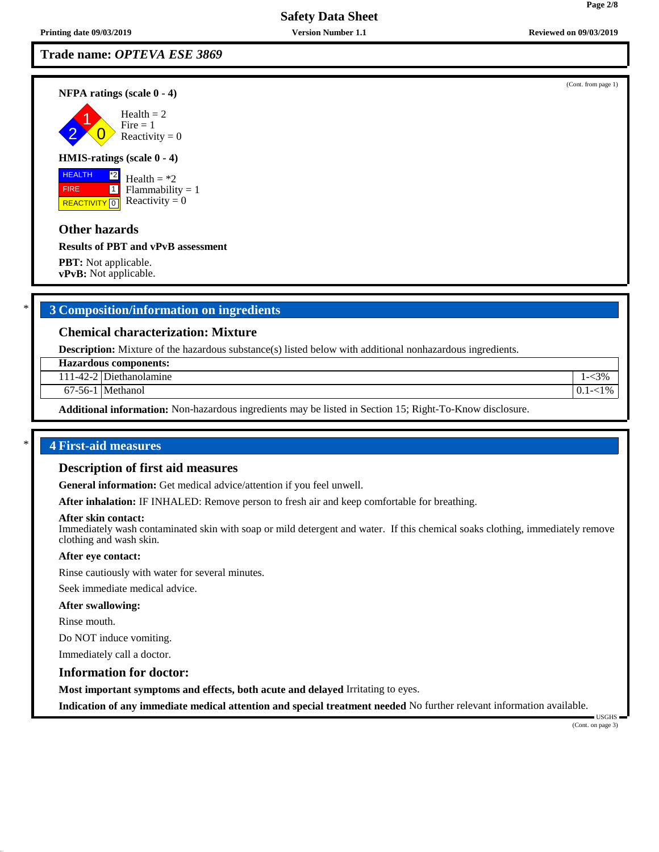**NFPA ratings (scale 0 - 4)**

2 1  $\overline{0}$  $Health = 2$  $Fire = 1$ Reactivity  $= 0$ 

# **HMIS-ratings (scale 0 - 4)**

 HEALTH FIRE **REACTIVITY** 0 \*2  $\boxed{1}$ 

Health  $=$  \*2  $Flammability = 1$ Reactivity  $= 0$ 

# **Other hazards**

**Results of PBT and vPvB assessment**

**PBT:** Not applicable. **vPvB:** Not applicable.

# \* **3 Composition/information on ingredients**

# **Chemical characterization: Mixture**

**Description:** Mixture of the hazardous substance(s) listed below with additional nonhazardous ingredients.

**Hazardous components:**

111-42-2 Diethanolamine 1-<3%

67-56-1 Methanol 0.1-<1%

**Additional information:** Non-hazardous ingredients may be listed in Section 15; Right-To-Know disclosure.

# \* **4 First-aid measures**

#### **Description of first aid measures**

**General information:** Get medical advice/attention if you feel unwell.

**After inhalation:** IF INHALED: Remove person to fresh air and keep comfortable for breathing.

#### **After skin contact:**

Immediately wash contaminated skin with soap or mild detergent and water. If this chemical soaks clothing, immediately remove clothing and wash skin.

## **After eye contact:**

Rinse cautiously with water for several minutes.

Seek immediate medical advice.

#### **After swallowing:**

Rinse mouth.

Do NOT induce vomiting.

Immediately call a doctor.

#### **Information for doctor:**

**Most important symptoms and effects, both acute and delayed** Irritating to eyes.

**Indication of any immediate medical attention and special treatment needed** No further relevant information available.

 USGHS (Cont. on page 3)

(Cont. from page 1)

**Page 2/8**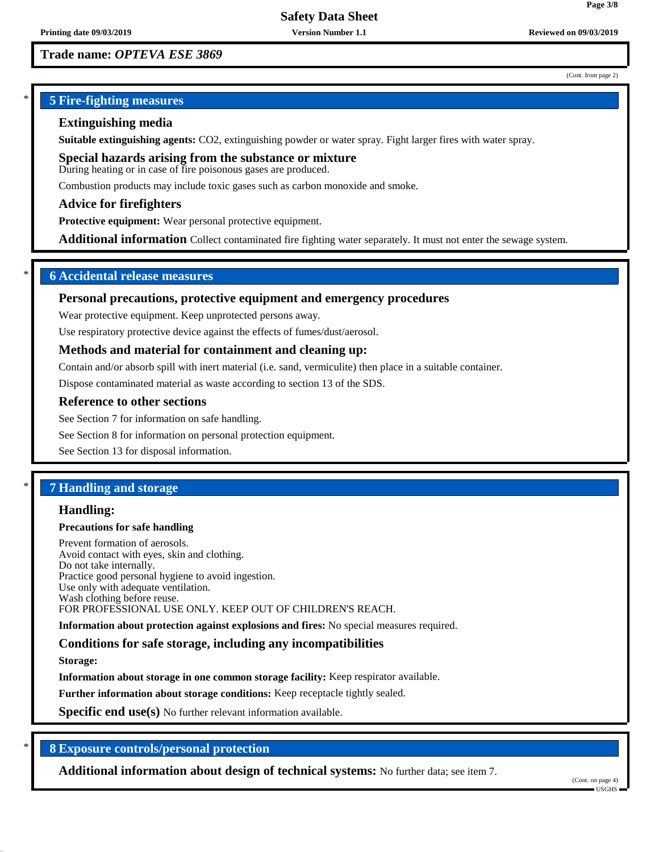(Cont. from page 2)

**Page 3/8**

# \* **5 Fire-fighting measures**

# **Extinguishing media**

**Suitable extinguishing agents:** CO2, extinguishing powder or water spray. Fight larger fires with water spray.

**Special hazards arising from the substance or mixture** During heating or in case of fire poisonous gases are produced.

Combustion products may include toxic gases such as carbon monoxide and smoke.

# **Advice for firefighters**

**Protective equipment:** Wear personal protective equipment.

**Additional information** Collect contaminated fire fighting water separately. It must not enter the sewage system.

# \* **6 Accidental release measures**

# **Personal precautions, protective equipment and emergency procedures**

Wear protective equipment. Keep unprotected persons away.

Use respiratory protective device against the effects of fumes/dust/aerosol.

# **Methods and material for containment and cleaning up:**

Contain and/or absorb spill with inert material (i.e. sand, vermiculite) then place in a suitable container.

Dispose contaminated material as waste according to section 13 of the SDS.

# **Reference to other sections**

See Section 7 for information on safe handling.

See Section 8 for information on personal protection equipment.

See Section 13 for disposal information.

# \* **7 Handling and storage**

# **Handling:**

## **Precautions for safe handling**

Prevent formation of aerosols. Avoid contact with eyes, skin and clothing. Do not take internally. Practice good personal hygiene to avoid ingestion. Use only with adequate ventilation. Wash clothing before reuse. FOR PROFESSIONAL USE ONLY. KEEP OUT OF CHILDREN'S REACH.

**Information about protection against explosions and fires:** No special measures required.

# **Conditions for safe storage, including any incompatibilities**

**Storage:**

**Information about storage in one common storage facility:** Keep respirator available.

**Further information about storage conditions:** Keep receptacle tightly sealed.

**Specific end use(s)** No further relevant information available.

# \* **8 Exposure controls/personal protection**

**Additional information about design of technical systems:** No further data; see item 7.

(Cont. on page 4)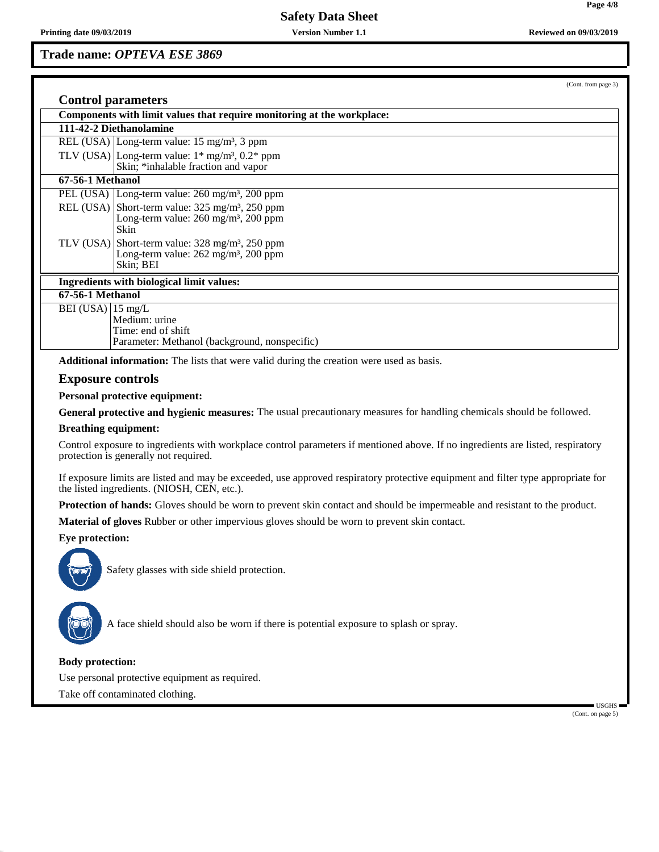**Trade name:** *OPTEVA ESE 3869*

(Cont. from page 3)

| <b>Control parameters</b>                                              |                                                                                                                                                |  |  |  |
|------------------------------------------------------------------------|------------------------------------------------------------------------------------------------------------------------------------------------|--|--|--|
| Components with limit values that require monitoring at the workplace: |                                                                                                                                                |  |  |  |
| 111-42-2 Diethanolamine                                                |                                                                                                                                                |  |  |  |
|                                                                        | REL (USA) Long-term value: $15 \text{ mg/m}^3$ , 3 ppm                                                                                         |  |  |  |
|                                                                        | TLV (USA) Long-term value: $1*$ mg/m <sup>3</sup> , $0.2*$ ppm<br>Skin; *inhalable fraction and vapor                                          |  |  |  |
| 67-56-1 Methanol                                                       |                                                                                                                                                |  |  |  |
|                                                                        | PEL (USA) Long-term value: $260 \text{ mg/m}^3$ , $200 \text{ ppm}$                                                                            |  |  |  |
|                                                                        | REL (USA) Short-term value: $325 \text{ mg/m}^3$ , $250 \text{ ppm}$<br>Long-term value: 260 mg/m <sup>3</sup> , 200 ppm<br>Skin               |  |  |  |
|                                                                        | TLV (USA) Short-term value: $328 \text{ mg/m}^3$ , $250 \text{ ppm}$<br>Long-term value: $262 \text{ mg/m}^3$ , $200 \text{ ppm}$<br>Skin; BEI |  |  |  |
| Ingredients with biological limit values:                              |                                                                                                                                                |  |  |  |
| 67-56-1 Methanol                                                       |                                                                                                                                                |  |  |  |
| BEI (USA) $ 15 \text{ mg/L}$                                           | Medium: urine<br>Time: end of shift<br>Parameter: Methanol (background, nonspecific)                                                           |  |  |  |
|                                                                        |                                                                                                                                                |  |  |  |

**Additional information:** The lists that were valid during the creation were used as basis.

#### **Exposure controls**

**Personal protective equipment:**

**General protective and hygienic measures:** The usual precautionary measures for handling chemicals should be followed.

#### **Breathing equipment:**

Control exposure to ingredients with workplace control parameters if mentioned above. If no ingredients are listed, respiratory protection is generally not required.

If exposure limits are listed and may be exceeded, use approved respiratory protective equipment and filter type appropriate for the listed ingredients. (NIOSH, CEN, etc.).

**Protection of hands:** Gloves should be worn to prevent skin contact and should be impermeable and resistant to the product.

**Material of gloves** Rubber or other impervious gloves should be worn to prevent skin contact.

# **Eye protection:**



Safety glasses with side shield protection.



A face shield should also be worn if there is potential exposure to splash or spray.

## **Body protection:**

Use personal protective equipment as required.

Take off contaminated clothing.

 USGHS (Cont. on page 5)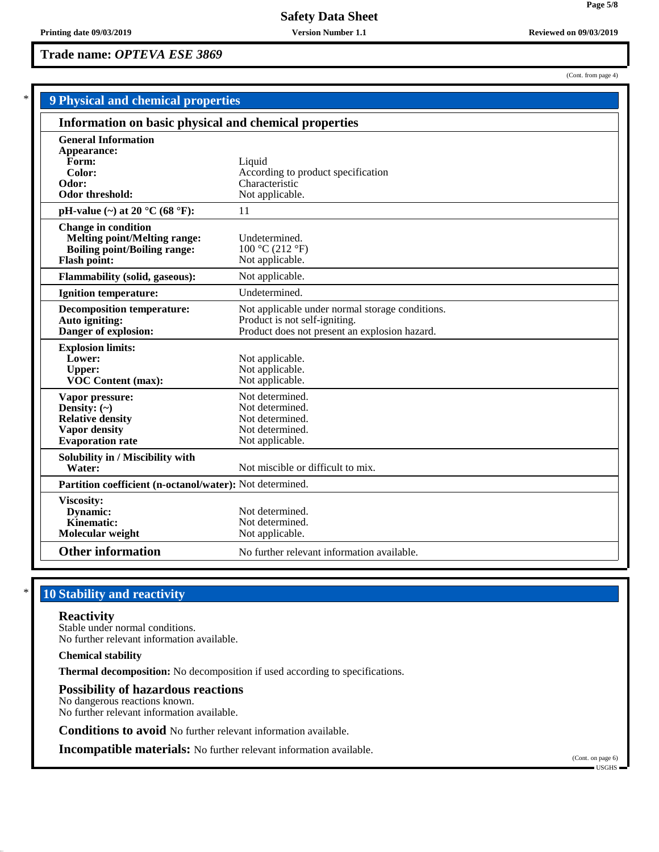**Trade name:** *OPTEVA ESE 3869*

(Cont. from page 4)

**Page 5/8**

| <b>9 Physical and chemical properties</b>                                                                                       |                                                                                                                                   |
|---------------------------------------------------------------------------------------------------------------------------------|-----------------------------------------------------------------------------------------------------------------------------------|
| Information on basic physical and chemical properties                                                                           |                                                                                                                                   |
| <b>General Information</b><br>Appearance:<br>Form:<br>Color:<br>Odor:<br><b>Odor threshold:</b>                                 | Liquid<br>According to product specification<br>Characteristic<br>Not applicable.                                                 |
| pH-value $(\sim)$ at 20 °C (68 °F):                                                                                             | 11                                                                                                                                |
| <b>Change in condition</b><br><b>Melting point/Melting range:</b><br><b>Boiling point/Boiling range:</b><br><b>Flash point:</b> | Undetermined.<br>100 °C (212 °F)<br>Not applicable.                                                                               |
| <b>Flammability (solid, gaseous):</b>                                                                                           | Not applicable.                                                                                                                   |
| <b>Ignition temperature:</b>                                                                                                    | Undetermined.                                                                                                                     |
| <b>Decomposition temperature:</b><br>Auto igniting:<br>Danger of explosion:                                                     | Not applicable under normal storage conditions.<br>Product is not self-igniting.<br>Product does not present an explosion hazard. |
| <b>Explosion limits:</b><br>Lower:<br><b>Upper:</b><br>VOC Content (max):                                                       | Not applicable.<br>Not applicable.<br>Not applicable.                                                                             |
| Vapor pressure:<br>Density: $(\sim)$<br><b>Relative density</b><br><b>Vapor density</b><br><b>Evaporation</b> rate              | Not determined.<br>Not determined.<br>Not determined.<br>Not determined.<br>Not applicable.                                       |
| Solubility in / Miscibility with<br>Water:                                                                                      | Not miscible or difficult to mix.                                                                                                 |
| Partition coefficient (n-octanol/water): Not determined.                                                                        |                                                                                                                                   |
| <b>Viscosity:</b><br>Dynamic:<br>Kinematic:<br>Molecular weight                                                                 | Not determined.<br>Not determined.<br>Not applicable.                                                                             |
| <b>Other information</b>                                                                                                        | No further relevant information available.                                                                                        |

# **10 Stability and reactivity**

# **Reactivity**

Stable under normal conditions. No further relevant information available.

**Chemical stability**

**Thermal decomposition:** No decomposition if used according to specifications.

# **Possibility of hazardous reactions**

No dangerous reactions known. No further relevant information available.

**Conditions to avoid** No further relevant information available.

**Incompatible materials:** No further relevant information available.

(Cont. on page 6) USGHS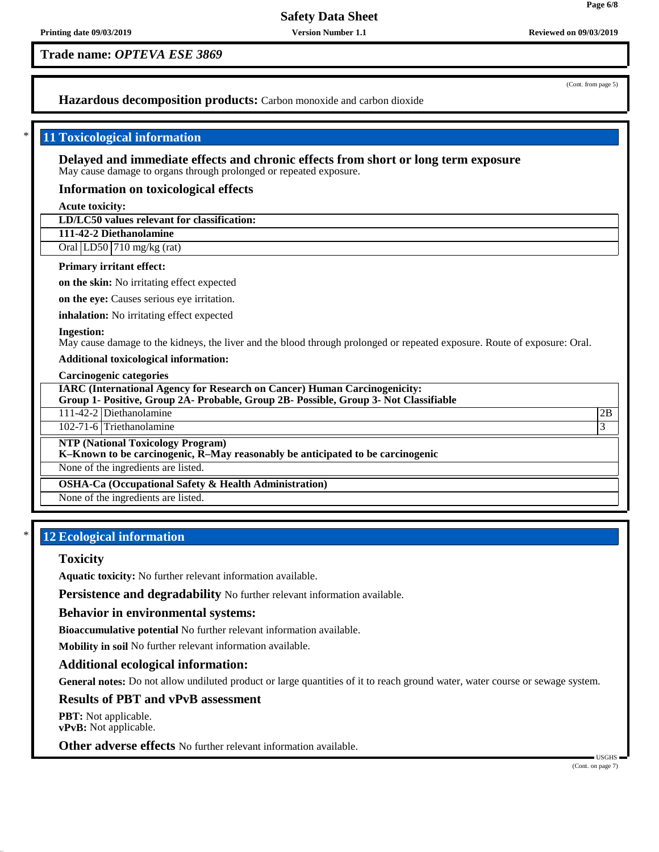(Cont. from page 5)

**Page 6/8**

# **Hazardous decomposition products:** Carbon monoxide and carbon dioxide

# \* **11 Toxicological information**

**Delayed and immediate effects and chronic effects from short or long term exposure** May cause damage to organs through prolonged or repeated exposure.

## **Information on toxicological effects**

**Acute toxicity:**

## **LD/LC50 values relevant for classification:**

**111-42-2 Diethanolamine**

Oral LD50 710 mg/kg (rat)

#### **Primary irritant effect:**

**on the skin:** No irritating effect expected

**on the eye:** Causes serious eye irritation.

**inhalation:** No irritating effect expected

#### **Ingestion:**

May cause damage to the kidneys, the liver and the blood through prolonged or repeated exposure. Route of exposure: Oral.

## **Additional toxicological information:**

**Carcinogenic categories**

**IARC (International Agency for Research on Cancer) Human Carcinogenicity: Group 1- Positive, Group 2A- Probable, Group 2B- Possible, Group 3- Not Classifiable**

111-42-2 Diethanolamine 2B

102-71-6 Triethanolamine 3

**NTP (National Toxicology Program)**

**K–Known to be carcinogenic, R–May reasonably be anticipated to be carcinogenic**

None of the ingredients are listed.

**OSHA-Ca (Occupational Safety & Health Administration)**

None of the ingredients are listed.

# **12 Ecological information**

#### **Toxicity**

**Aquatic toxicity:** No further relevant information available.

Persistence and degradability No further relevant information available.

#### **Behavior in environmental systems:**

**Bioaccumulative potential** No further relevant information available.

**Mobility in soil** No further relevant information available.

## **Additional ecological information:**

**General notes:** Do not allow undiluted product or large quantities of it to reach ground water, water course or sewage system.

# **Results of PBT and vPvB assessment**

**PBT:** Not applicable. **vPvB:** Not applicable.

**Other adverse effects** No further relevant information available.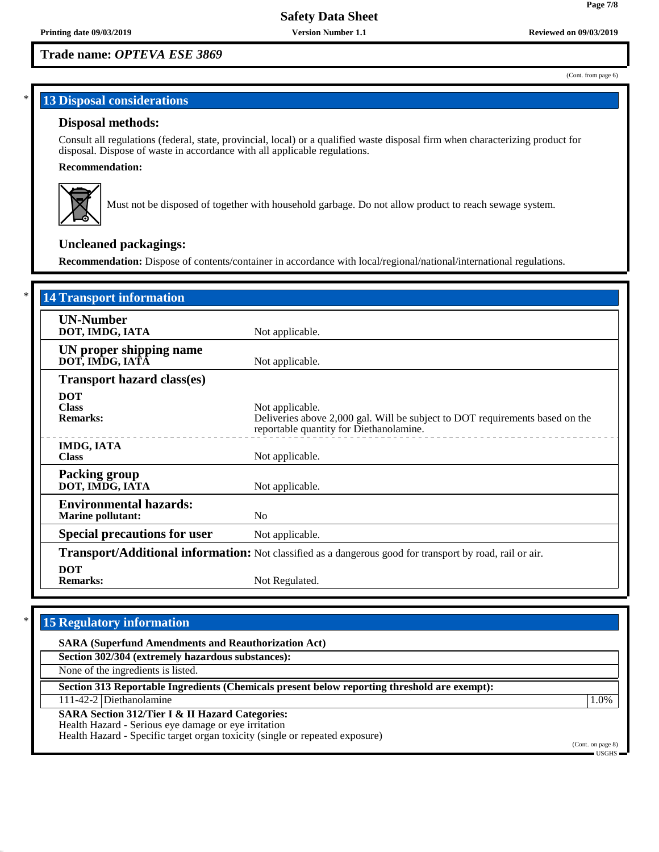#### (Cont. from page 6)

# **13 Disposal considerations**

# **Disposal methods:**

Consult all regulations (federal, state, provincial, local) or a qualified waste disposal firm when characterizing product for disposal. Dispose of waste in accordance with all applicable regulations.

## **Recommendation:**



Must not be disposed of together with household garbage. Do not allow product to reach sewage system.

# **Uncleaned packagings:**

**Recommendation:** Dispose of contents/container in accordance with local/regional/national/international regulations.

| <b>14 Transport information</b>                                                                                 |                                                                                                                                            |  |  |  |
|-----------------------------------------------------------------------------------------------------------------|--------------------------------------------------------------------------------------------------------------------------------------------|--|--|--|
| <b>UN-Number</b><br>DOT, IMDG, IATA                                                                             | Not applicable.                                                                                                                            |  |  |  |
| UN proper shipping name<br>DOT, IMDG, IATA                                                                      | Not applicable.                                                                                                                            |  |  |  |
| <b>Transport hazard class(es)</b>                                                                               |                                                                                                                                            |  |  |  |
| <b>DOT</b><br><b>Class</b><br><b>Remarks:</b>                                                                   | Not applicable.<br>Deliveries above 2,000 gal. Will be subject to DOT requirements based on the<br>reportable quantity for Diethanolamine. |  |  |  |
| <b>IMDG, IATA</b><br><b>Class</b>                                                                               | Not applicable.                                                                                                                            |  |  |  |
| <b>Packing group</b><br>DOT, IMDG, IATA                                                                         | Not applicable.                                                                                                                            |  |  |  |
| <b>Environmental hazards:</b><br><b>Marine pollutant:</b>                                                       | N <sub>o</sub>                                                                                                                             |  |  |  |
| <b>Special precautions for user</b>                                                                             | Not applicable.                                                                                                                            |  |  |  |
| <b>Transport/Additional information:</b> Not classified as a dangerous good for transport by road, rail or air. |                                                                                                                                            |  |  |  |
| <b>DOT</b><br><b>Remarks:</b>                                                                                   | Not Regulated.                                                                                                                             |  |  |  |

# **15 Regulatory information**

**SARA (Superfund Amendments and Reauthorization Act)**

**Section 302/304 (extremely hazardous substances):**

None of the ingredients is listed.

**Section 313 Reportable Ingredients (Chemicals present below reporting threshold are exempt):**

111-42-2 Diethanolamine 1.0%

**SARA Section 312/Tier I & II Hazard Categories:**

Health Hazard - Serious eye damage or eye irritation

Health Hazard - Specific target organ toxicity (single or repeated exposure)

(Cont. on page 8) USGHS